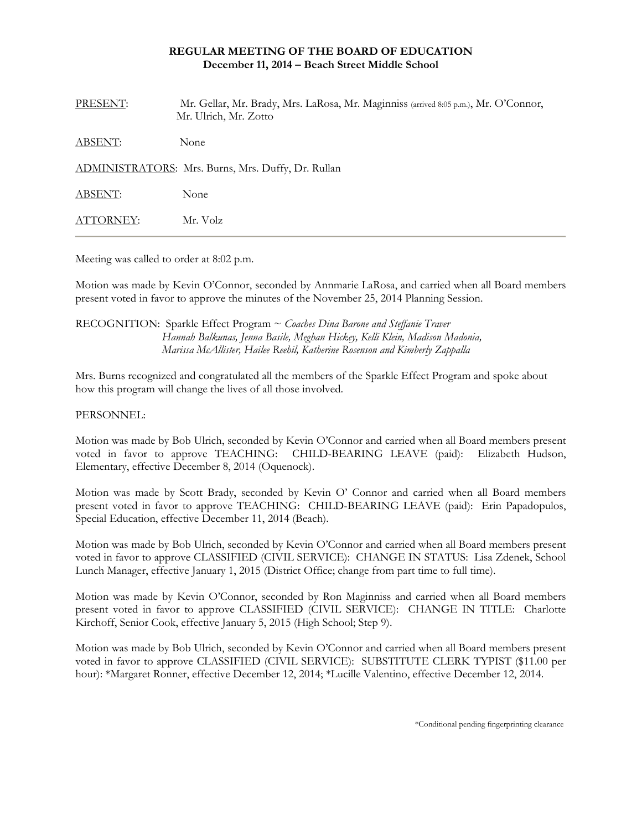# **REGULAR MEETING OF THE BOARD OF EDUCATION December 11, 2014 – Beach Street Middle School**

| PRESENT:  | Mr. Gellar, Mr. Brady, Mrs. LaRosa, Mr. Maginniss (arrived 8:05 p.m.), Mr. O'Connor,<br>Mr. Ulrich, Mr. Zotto |
|-----------|---------------------------------------------------------------------------------------------------------------|
| ABSENT:   | None                                                                                                          |
|           | ADMINISTRATORS: Mrs. Burns, Mrs. Duffy, Dr. Rullan                                                            |
| ABSENT:   | None                                                                                                          |
| ATTORNEY: | Mr. Volz                                                                                                      |

Meeting was called to order at 8:02 p.m.

Motion was made by Kevin O'Connor, seconded by Annmarie LaRosa, and carried when all Board members present voted in favor to approve the minutes of the November 25, 2014 Planning Session.

## RECOGNITION: Sparkle Effect Program ~ *Coaches Dina Barone and Steffanie Traver Hannah Balkunas, Jenna Basile, Meghan Hickey, Kelli Klein, Madison Madonia, Marissa McAllister, Hailee Reehil, Katherine Rosenson and Kimberly Zappalla*

Mrs. Burns recognized and congratulated all the members of the Sparkle Effect Program and spoke about how this program will change the lives of all those involved.

## PERSONNEL:

Motion was made by Bob Ulrich, seconded by Kevin O'Connor and carried when all Board members present voted in favor to approve TEACHING: CHILD-BEARING LEAVE (paid): Elizabeth Hudson, Elementary, effective December 8, 2014 (Oquenock).

Motion was made by Scott Brady, seconded by Kevin O' Connor and carried when all Board members present voted in favor to approve TEACHING: CHILD-BEARING LEAVE (paid): Erin Papadopulos, Special Education, effective December 11, 2014 (Beach).

Motion was made by Bob Ulrich, seconded by Kevin O'Connor and carried when all Board members present voted in favor to approve CLASSIFIED (CIVIL SERVICE): CHANGE IN STATUS: Lisa Zdenek, School Lunch Manager, effective January 1, 2015 (District Office; change from part time to full time).

Motion was made by Kevin O'Connor, seconded by Ron Maginniss and carried when all Board members present voted in favor to approve CLASSIFIED (CIVIL SERVICE): CHANGE IN TITLE: Charlotte Kirchoff, Senior Cook, effective January 5, 2015 (High School; Step 9).

Motion was made by Bob Ulrich, seconded by Kevin O'Connor and carried when all Board members present voted in favor to approve CLASSIFIED (CIVIL SERVICE): SUBSTITUTE CLERK TYPIST (\$11.00 per hour): \*Margaret Ronner, effective December 12, 2014; \*Lucille Valentino, effective December 12, 2014.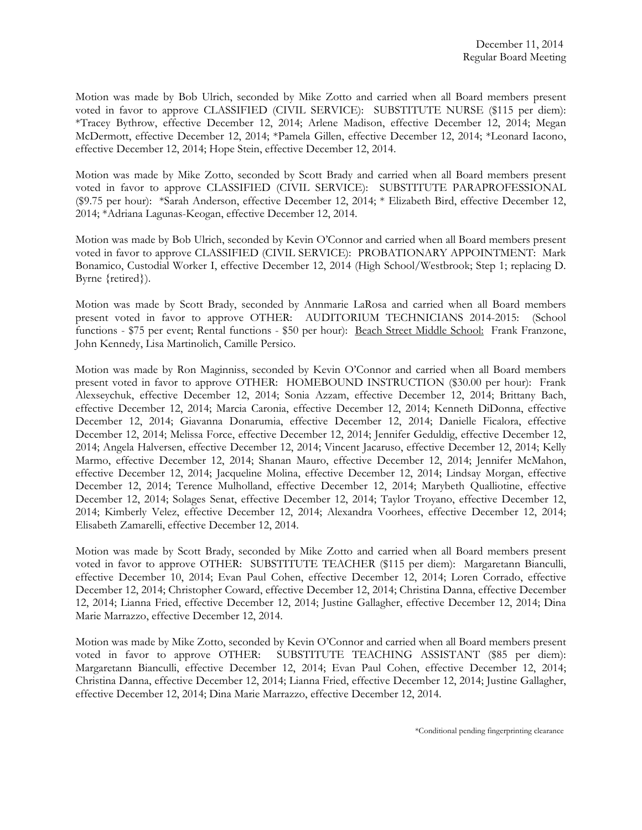Motion was made by Bob Ulrich, seconded by Mike Zotto and carried when all Board members present voted in favor to approve CLASSIFIED (CIVIL SERVICE): SUBSTITUTE NURSE (\$115 per diem): \*Tracey Bythrow, effective December 12, 2014; Arlene Madison, effective December 12, 2014; Megan McDermott, effective December 12, 2014; \*Pamela Gillen, effective December 12, 2014; \*Leonard Iacono, effective December 12, 2014; Hope Stein, effective December 12, 2014.

Motion was made by Mike Zotto, seconded by Scott Brady and carried when all Board members present voted in favor to approve CLASSIFIED (CIVIL SERVICE): SUBSTITUTE PARAPROFESSIONAL (\$9.75 per hour): \*Sarah Anderson, effective December 12, 2014; \* Elizabeth Bird, effective December 12, 2014; \*Adriana Lagunas-Keogan, effective December 12, 2014.

Motion was made by Bob Ulrich, seconded by Kevin O'Connor and carried when all Board members present voted in favor to approve CLASSIFIED (CIVIL SERVICE): PROBATIONARY APPOINTMENT: Mark Bonamico, Custodial Worker I, effective December 12, 2014 (High School/Westbrook; Step 1; replacing D. Byrne {retired}).

Motion was made by Scott Brady, seconded by Annmarie LaRosa and carried when all Board members present voted in favor to approve OTHER: AUDITORIUM TECHNICIANS 2014-2015: (School functions - \$75 per event; Rental functions - \$50 per hour): Beach Street Middle School: Frank Franzone, John Kennedy, Lisa Martinolich, Camille Persico.

Motion was made by Ron Maginniss, seconded by Kevin O'Connor and carried when all Board members present voted in favor to approve OTHER: HOMEBOUND INSTRUCTION (\$30.00 per hour): Frank Alexseychuk, effective December 12, 2014; Sonia Azzam, effective December 12, 2014; Brittany Bach, effective December 12, 2014; Marcia Caronia, effective December 12, 2014; Kenneth DiDonna, effective December 12, 2014; Giavanna Donarumia, effective December 12, 2014; Danielle Ficalora, effective December 12, 2014; Melissa Force, effective December 12, 2014; Jennifer Geduldig, effective December 12, 2014; Angela Halversen, effective December 12, 2014; Vincent Jacaruso, effective December 12, 2014; Kelly Marmo, effective December 12, 2014; Shanan Mauro, effective December 12, 2014; Jennifer McMahon, effective December 12, 2014; Jacqueline Molina, effective December 12, 2014; Lindsay Morgan, effective December 12, 2014; Terence Mulholland, effective December 12, 2014; Marybeth Qualliotine, effective December 12, 2014; Solages Senat, effective December 12, 2014; Taylor Troyano, effective December 12, 2014; Kimberly Velez, effective December 12, 2014; Alexandra Voorhees, effective December 12, 2014; Elisabeth Zamarelli, effective December 12, 2014.

Motion was made by Scott Brady, seconded by Mike Zotto and carried when all Board members present voted in favor to approve OTHER: SUBSTITUTE TEACHER (\$115 per diem): Margaretann Bianculli, effective December 10, 2014; Evan Paul Cohen, effective December 12, 2014; Loren Corrado, effective December 12, 2014; Christopher Coward, effective December 12, 2014; Christina Danna, effective December 12, 2014; Lianna Fried, effective December 12, 2014; Justine Gallagher, effective December 12, 2014; Dina Marie Marrazzo, effective December 12, 2014.

Motion was made by Mike Zotto, seconded by Kevin O'Connor and carried when all Board members present voted in favor to approve OTHER: SUBSTITUTE TEACHING ASSISTANT (\$85 per diem): Margaretann Bianculli, effective December 12, 2014; Evan Paul Cohen, effective December 12, 2014; Christina Danna, effective December 12, 2014; Lianna Fried, effective December 12, 2014; Justine Gallagher, effective December 12, 2014; Dina Marie Marrazzo, effective December 12, 2014.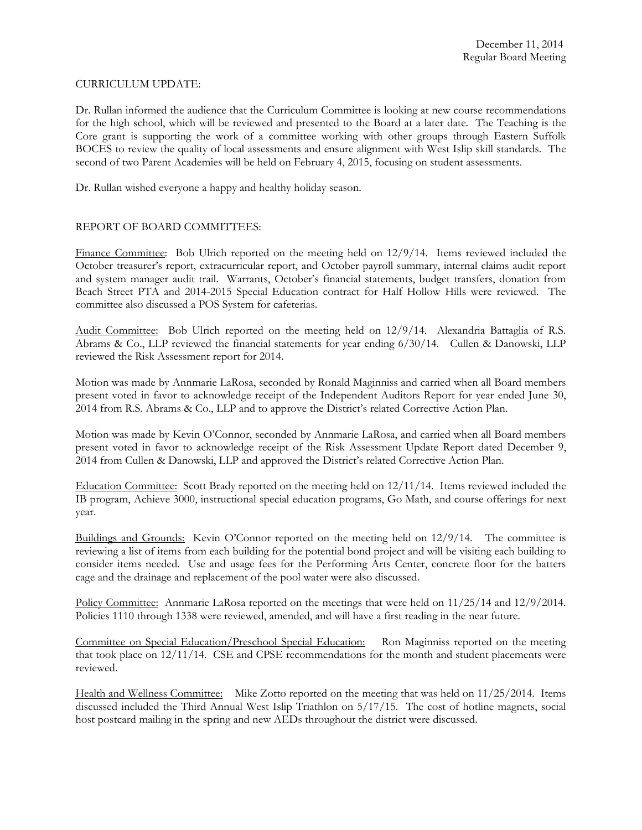## CURRICULUM UPDATE:

Dr. Rullan informed the audience that the Curriculum Committee is looking at new course recommendations for the high school, which will be reviewed and presented to the Board at a later date. The Teaching is the Core grant is supporting the work of a committee working with other groups through Eastern Suffolk BOCES to review the quality of local assessments and ensure alignment with West Islip skill standards. The second of two Parent Academies will be held on February 4, 2015, focusing on student assessments.

Dr. Rullan wished everyone a happy and healthy holiday season.

# REPORT OF BOARD COMMITTEES:

Finance Committee: Bob Ulrich reported on the meeting held on  $12/9/14$ . Items reviewed included the October treasurer's report, extracurricular report, and October payroll summary, internal claims audit report and system manager audit trail. Warrants, October's financial statements, budget transfers, donation from Beach Street PTA and 2014-2015 Special Education contract for Half Hollow Hills were reviewed. The committee also discussed a POS System for cafeterias.

Audit Committee: Bob Ulrich reported on the meeting held on 12/9/14. Alexandria Battaglia of R.S. Abrams & Co., LLP reviewed the financial statements for year ending 6/30/14. Cullen & Danowski, LLP reviewed the Risk Assessment report for 2014.

Motion was made by Annmarie LaRosa, seconded by Ronald Maginniss and carried when all Board members present voted in favor to acknowledge receipt of the Independent Auditors Report for year ended June 30, 2014 from R.S. Abrams & Co., LLP and to approve the District's related Corrective Action Plan.

Motion was made by Kevin O'Connor, seconded by Annmarie LaRosa, and carried when all Board members present voted in favor to acknowledge receipt of the Risk Assessment Update Report dated December 9, 2014 from Cullen & Danowski, LLP and approved the District's related Corrective Action Plan.

Education Committee: Scott Brady reported on the meeting held on 12/11/14. Items reviewed included the IB program, Achieve 3000, instructional special education programs, Go Math, and course offerings for next year.

Buildings and Grounds: Kevin O'Connor reported on the meeting held on 12/9/14. The committee is reviewing a list of items from each building for the potential bond project and will be visiting each building to consider items needed. Use and usage fees for the Performing Arts Center, concrete floor for the batters cage and the drainage and replacement of the pool water were also discussed.

Policy Committee: Annmarie LaRosa reported on the meetings that were held on 11/25/14 and 12/9/2014. Policies 1110 through 1338 were reviewed, amended, and will have a first reading in the near future.

Committee on Special Education/Preschool Special Education: Ron Maginniss reported on the meeting that took place on 12/11/14. CSE and CPSE recommendations for the month and student placements were reviewed.

Health and Wellness Committee: Mike Zotto reported on the meeting that was held on 11/25/2014. Items discussed included the Third Annual West Islip Triathlon on 5/17/15. The cost of hotline magnets, social host postcard mailing in the spring and new AEDs throughout the district were discussed.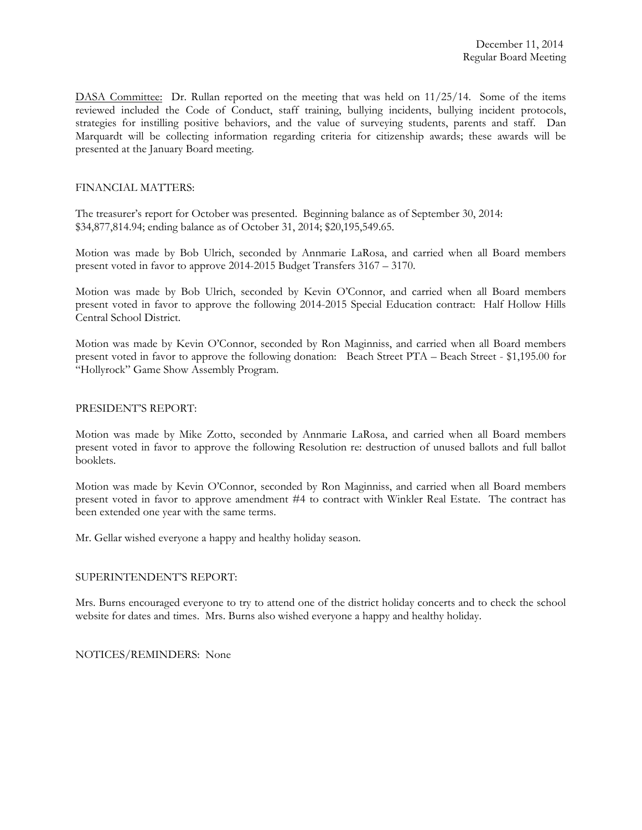DASA Committee: Dr. Rullan reported on the meeting that was held on 11/25/14. Some of the items reviewed included the Code of Conduct, staff training, bullying incidents, bullying incident protocols, strategies for instilling positive behaviors, and the value of surveying students, parents and staff. Dan Marquardt will be collecting information regarding criteria for citizenship awards; these awards will be presented at the January Board meeting.

#### FINANCIAL MATTERS:

The treasurer's report for October was presented. Beginning balance as of September 30, 2014: \$34,877,814.94; ending balance as of October 31, 2014; \$20,195,549.65.

Motion was made by Bob Ulrich, seconded by Annmarie LaRosa, and carried when all Board members present voted in favor to approve 2014-2015 Budget Transfers 3167 – 3170.

Motion was made by Bob Ulrich, seconded by Kevin O'Connor, and carried when all Board members present voted in favor to approve the following 2014-2015 Special Education contract: Half Hollow Hills Central School District.

Motion was made by Kevin O'Connor, seconded by Ron Maginniss, and carried when all Board members present voted in favor to approve the following donation: Beach Street PTA – Beach Street - \$1,195.00 for "Hollyrock" Game Show Assembly Program.

#### PRESIDENT'S REPORT:

Motion was made by Mike Zotto, seconded by Annmarie LaRosa, and carried when all Board members present voted in favor to approve the following Resolution re: destruction of unused ballots and full ballot booklets.

Motion was made by Kevin O'Connor, seconded by Ron Maginniss, and carried when all Board members present voted in favor to approve amendment #4 to contract with Winkler Real Estate. The contract has been extended one year with the same terms.

Mr. Gellar wished everyone a happy and healthy holiday season.

## SUPERINTENDENT'S REPORT:

Mrs. Burns encouraged everyone to try to attend one of the district holiday concerts and to check the school website for dates and times. Mrs. Burns also wished everyone a happy and healthy holiday.

NOTICES/REMINDERS: None